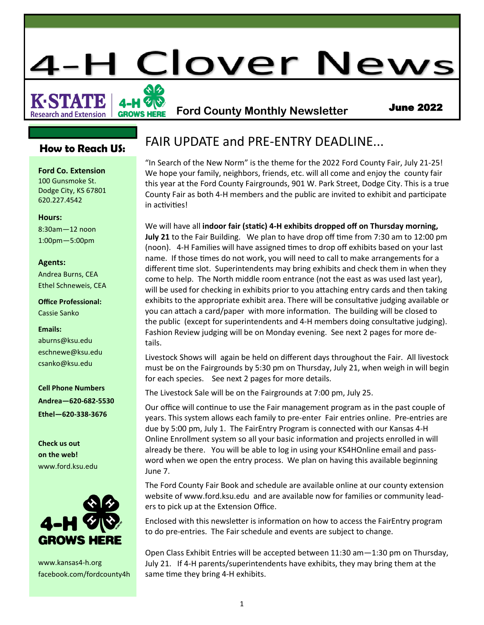# **Clover News**

**Research and Extension** 

#### **Ford County Monthly Newsletter** June 2022 **GROWS HERE**

#### **How to Reach US:**

**Ford Co. Extension**  100 Gunsmoke St. Dodge City, KS 67801 620.227.4542

#### **Hours:**

8:30am—12 noon 1:00pm—5:00pm

#### **Agents:**

Andrea Burns, CEA Ethel Schneweis, CEA

**Office Professional:** Cassie Sanko

#### **Emails:**

aburns@ksu.edu eschnewe@ksu.edu csanko@ksu.edu

**Cell Phone Numbers Andrea—620-682-5530 Ethel—620-338-3676**

**Check us out on the web!** www.ford.ksu.edu



www.kansas4-h.org facebook.com/fordcounty4h

#### FAIR UPDATE and PRE-ENTRY DEADLINE...

"In Search of the New Norm" is the theme for the 2022 Ford County Fair, July 21-25! We hope your family, neighbors, friends, etc. will all come and enjoy the county fair this year at the Ford County Fairgrounds, 901 W. Park Street, Dodge City. This is a true County Fair as both 4-H members and the public are invited to exhibit and participate in activities!

We will have all **indoor fair (static) 4-H exhibits dropped off on Thursday morning, July 21** to the Fair Building. We plan to have drop off time from 7:30 am to 12:00 pm (noon). 4-H Families will have assigned times to drop off exhibits based on your last name. If those times do not work, you will need to call to make arrangements for a different time slot. Superintendents may bring exhibits and check them in when they come to help. The North middle room entrance (not the east as was used last year), will be used for checking in exhibits prior to you attaching entry cards and then taking exhibits to the appropriate exhibit area. There will be consultative judging available or you can attach a card/paper with more information. The building will be closed to the public (except for superintendents and 4-H members doing consultative judging). Fashion Review judging will be on Monday evening. See next 2 pages for more details.

Livestock Shows will again be held on different days throughout the Fair. All livestock must be on the Fairgrounds by 5:30 pm on Thursday, July 21, when weigh in will begin for each species. See next 2 pages for more details.

The Livestock Sale will be on the Fairgrounds at 7:00 pm, July 25.

Our office will continue to use the Fair management program as in the past couple of years. This system allows each family to pre-enter Fair entries online. Pre-entries are due by 5:00 pm, July 1. The FairEntry Program is connected with our Kansas 4-H Online Enrollment system so all your basic information and projects enrolled in will already be there. You will be able to log in using your KS4HOnline email and password when we open the entry process. We plan on having this available beginning June 7.

The Ford County Fair Book and schedule are available online at our county extension website of www.ford.ksu.edu and are available now for families or community leaders to pick up at the Extension Office.

Enclosed with this newsletter is information on how to access the FairEntry program to do pre-entries. The Fair schedule and events are subject to change.

Open Class Exhibit Entries will be accepted between 11:30 am—1:30 pm on Thursday, July 21. If 4-H parents/superintendents have exhibits, they may bring them at the same time they bring 4-H exhibits.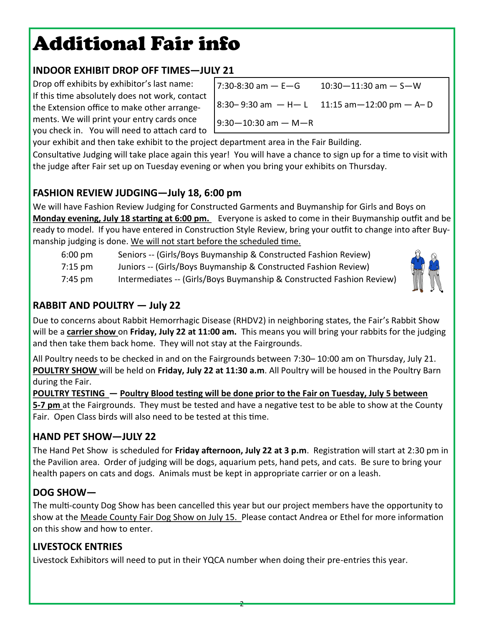## Additional Fair info

#### **INDOOR EXHIBIT DROP OFF TIMES—JULY 21**

Drop off exhibits by exhibitor's last name: If this time absolutely does not work, contact the Extension office to make other arrangements. We will print your entry cards once you check in. You will need to attach card to

```
7:30-8:30 am - E - G8:30 - 9:30 am - H - L9:30-10:30 am - M-R10:30 - 11:30 am - S-W
          11:15 am-12:00 pm - A-D
```
your exhibit and then take exhibit to the project department area in the Fair Building.

Consultative Judging will take place again this year! You will have a chance to sign up for a time to visit with the judge after Fair set up on Tuesday evening or when you bring your exhibits on Thursday.

#### **FASHION REVIEW JUDGING—July 18, 6:00 pm**

We will have Fashion Review Judging for Constructed Garments and Buymanship for Girls and Boys on **Monday evening, July 18 starting at 6:00 pm.** Everyone is asked to come in their Buymanship outfit and be ready to model. If you have entered in Construction Style Review, bring your outfit to change into after Buymanship judging is done. We will not start before the scheduled time.

| $6:00 \text{ pm}$ | Seniors -- (Girls/Boys Buymanship & Constructed Fashion Review)       |
|-------------------|-----------------------------------------------------------------------|
| $7:15$ pm         | Juniors -- (Girls/Boys Buymanship & Constructed Fashion Review)       |
| 7:45 pm           | Intermediates -- (Girls/Boys Buymanship & Constructed Fashion Review) |



#### **RABBIT AND POULTRY — July 22**

Due to concerns about Rabbit Hemorrhagic Disease (RHDV2) in neighboring states, the Fair's Rabbit Show will be a **carrier show** on **Friday, July 22 at 11:00 am.** This means you will bring your rabbits for the judging and then take them back home. They will not stay at the Fairgrounds.

All Poultry needs to be checked in and on the Fairgrounds between 7:30– 10:00 am on Thursday, July 21. **POULTRY SHOW** will be held on **Friday, July 22 at 11:30 a.m**. All Poultry will be housed in the Poultry Barn during the Fair.

**POULTRY TESTING — Poultry Blood testing will be done prior to the Fair on Tuesday, July 5 between 5-7 pm** at the Fairgrounds. They must be tested and have a negative test to be able to show at the County Fair. Open Class birds will also need to be tested at this time.

#### **HAND PET SHOW—JULY 22**

The Hand Pet Show is scheduled for **Friday afternoon, July 22 at 3 p.m**. Registration will start at 2:30 pm in the Pavilion area. Order of judging will be dogs, aquarium pets, hand pets, and cats. Be sure to bring your health papers on cats and dogs. Animals must be kept in appropriate carrier or on a leash.

#### **DOG SHOW—**

The multi-county Dog Show has been cancelled this year but our project members have the opportunity to show at the Meade County Fair Dog Show on July 15. Please contact Andrea or Ethel for more information on this show and how to enter.

#### **LIVESTOCK ENTRIES**

Livestock Exhibitors will need to put in their YQCA number when doing their pre-entries this year.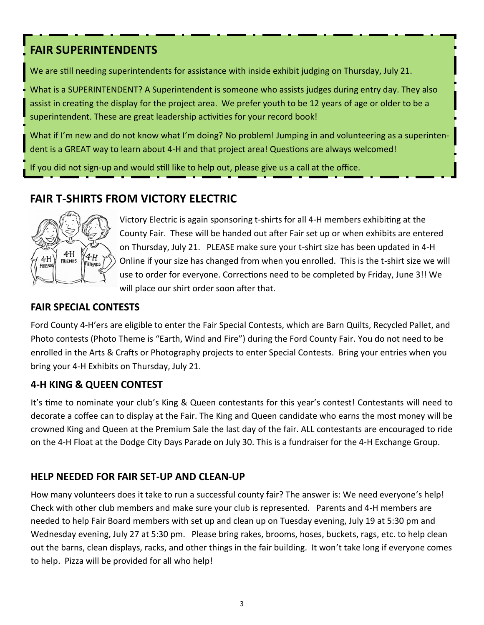#### **FAIR SUPERINTENDENTS**

We are still needing superintendents for assistance with inside exhibit judging on Thursday, July 21.

What is a SUPERINTENDENT? A Superintendent is someone who assists judges during entry day. They also assist in creating the display for the project area. We prefer youth to be 12 years of age or older to be a superintendent. These are great leadership activities for your record book!

What if I'm new and do not know what I'm doing? No problem! Jumping in and volunteering as a superintendent is a GREAT way to learn about 4-H and that project area! Questions are always welcomed!

If you did not sign-up and would still like to help out, please give us a call at the office.

#### **FAIR T-SHIRTS FROM VICTORY ELECTRIC**



Victory Electric is again sponsoring t-shirts for all 4-H members exhibiting at the County Fair. These will be handed out after Fair set up or when exhibits are entered on Thursday, July 21. PLEASE make sure your t-shirt size has been updated in 4-H Online if your size has changed from when you enrolled. This is the t-shirt size we will use to order for everyone. Corrections need to be completed by Friday, June 3!! We will place our shirt order soon after that.

#### **FAIR SPECIAL CONTESTS**

Ford County 4-H'ers are eligible to enter the Fair Special Contests, which are Barn Quilts, Recycled Pallet, and Photo contests (Photo Theme is "Earth, Wind and Fire") during the Ford County Fair. You do not need to be enrolled in the Arts & Crafts or Photography projects to enter Special Contests. Bring your entries when you bring your 4-H Exhibits on Thursday, July 21.

#### **4-H KING & QUEEN CONTEST**

It's time to nominate your club's King & Queen contestants for this year's contest! Contestants will need to decorate a coffee can to display at the Fair. The King and Queen candidate who earns the most money will be crowned King and Queen at the Premium Sale the last day of the fair. ALL contestants are encouraged to ride on the 4-H Float at the Dodge City Days Parade on July 30. This is a fundraiser for the 4-H Exchange Group.

#### **HELP NEEDED FOR FAIR SET-UP AND CLEAN-UP**

How many volunteers does it take to run a successful county fair? The answer is: We need everyone's help! Check with other club members and make sure your club is represented. Parents and 4-H members are needed to help Fair Board members with set up and clean up on Tuesday evening, July 19 at 5:30 pm and Wednesday evening, July 27 at 5:30 pm. Please bring rakes, brooms, hoses, buckets, rags, etc. to help clean out the barns, clean displays, racks, and other things in the fair building. It won't take long if everyone comes to help. Pizza will be provided for all who help!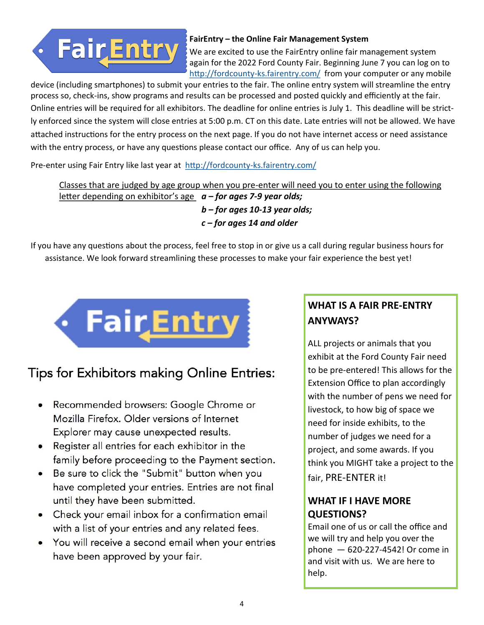<span id="page-3-0"></span>

#### **FairEntry – the Online Fair Management System**

We are excited to use the FairEntry online fair management system again for the 2022 Ford County Fair. Beginning June 7 you can log on to http://fordcounty-[ks.fairentry.com/](#page-3-0) from your computer or any mobile

device (including smartphones) to submit your entries to the fair. The online entry system will streamline the entry process so, check-ins, show programs and results can be processed and posted quickly and efficiently at the fair. Online entries will be required for all exhibitors. The deadline for online entries is July 1. This deadline will be strictly enforced since the system will close entries at 5:00 p.m. CT on this date. Late entries will not be allowed. We have attached instructions for the entry process on the next page. If you do not have internet access or need assistance with the entry process, or have any questions please contact our office. Any of us can help you.

Pre-enter using Fair Entry like last year at [http://fordcounty](http://fordcounty-ks.fairentry.com/)-ks.fairentry.com/

Classes that are judged by age group when you pre-enter will need you to enter using the following letter depending on exhibitor's age *a – for ages 7-9 year olds; b – for ages 10-13 year olds; c – for ages 14 and older* 

If you have any questions about the process, feel free to stop in or give us a call during regular business hours for assistance. We look forward streamlining these processes to make your fair experience the best yet!



### Tips for Exhibitors making Online Entries:

- Recommended browsers: Google Chrome or Mozilla Firefox. Older versions of Internet Explorer may cause unexpected results.
- Register all entries for each exhibitor in the family before proceeding to the Payment section.
- Be sure to click the "Submit" button when you have completed your entries. Entries are not final until they have been submitted.
- Check your email inbox for a confirmation email with a list of your entries and any related fees.
- You will receive a second email when your entries have been approved by your fair.

#### **WHAT IS A FAIR PRE-ENTRY ANYWAYS?**

ALL projects or animals that you exhibit at the Ford County Fair need to be pre-entered! This allows for the Extension Office to plan accordingly with the number of pens we need for livestock, to how big of space we need for inside exhibits, to the number of judges we need for a project, and some awards. If you think you MIGHT take a project to the fair, PRE-ENTER it!

#### **WHAT IF I HAVE MORE QUESTIONS?**

Email one of us or call the office and we will try and help you over the phone — 620-227-4542! Or come in and visit with us. We are here to help.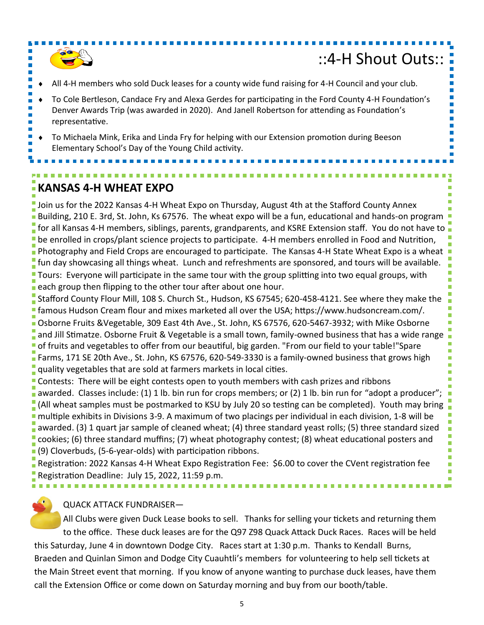## ::4-H Shout Outs::

- All 4-H members who sold Duck leases for a county wide fund raising for 4-H Council and your club.
- To Cole Bertleson, Candace Fry and Alexa Gerdes for participating in the Ford County 4-H Foundation's Denver Awards Trip (was awarded in 2020). And Janell Robertson for attending as Foundation's representative.
- To Michaela Mink, Erika and Linda Fry for helping with our Extension promotion during Beeson Elementary School's Day of the Young Child activity.

#### **KANSAS 4-H WHEAT EXPO**

Ħ П

> Join us for the 2022 Kansas 4-H Wheat Expo on Thursday, August 4th at the Stafford County Annex Building, 210 E. 3rd, St. John, Ks 67576. The wheat expo will be a fun, educational and hands-on program for all Kansas 4-H members, siblings, parents, grandparents, and KSRE Extension staff. You do not have to be enrolled in crops/plant science projects to participate. 4-H members enrolled in Food and Nutrition, Photography and Field Crops are encouraged to participate. The Kansas 4-H State Wheat Expo is a wheat fun day showcasing all things wheat. Lunch and refreshments are sponsored, and tours will be available. Tours: Everyone will participate in the same tour with the group splitting into two equal groups, with each group then flipping to the other tour after about one hour. Stafford County Flour Mill, 108 S. Church St., Hudson, KS 67545; 620-458-4121. See where they make the famous Hudson Cream flour and mixes marketed all over the USA; https://www.hudsoncream.com/. Osborne Fruits &Vegetable, 309 East 4th Ave., St. John, KS 67576, 620-5467-3932; with Mike Osborne and Jill Stimatze. Osborne Fruit & Vegetable is a small town, family-owned business that has a wide range of fruits and vegetables to offer from our beautiful, big garden. "From our field to your table!"Spare Farms, 171 SE 20th Ave., St. John, KS 67576, 620-549-3330 is a family-owned business that grows high quality vegetables that are sold at farmers markets in local cities. Contests: There will be eight contests open to youth members with cash prizes and ribbons awarded. Classes include: (1) 1 lb. bin run for crops members; or (2) 1 lb. bin run for "adopt a producer"; (All wheat samples must be postmarked to KSU by July 20 so testing can be completed). Youth may bring

multiple exhibits in Divisions 3-9. A maximum of two placings per individual in each division, 1-8 will be awarded. (3) 1 quart jar sample of cleaned wheat; (4) three standard yeast rolls; (5) three standard sized cookies; (6) three standard muffins; (7) wheat photography contest; (8) wheat educational posters and (9) Cloverbuds, (5-6-year-olds) with participation ribbons.

Registration: 2022 Kansas 4-H Wheat Expo Registration Fee: \$6.00 to cover the CVent registration fee Registration Deadline: July 15, 2022, 11:59 p.m.

QUACK ATTACK FUNDRAISER—

All Clubs were given Duck Lease books to sell. Thanks for selling your tickets and returning them to the office. These duck leases are for the Q97 Z98 Quack Attack Duck Races. Races will be held this Saturday, June 4 in downtown Dodge City. Races start at 1:30 p.m. Thanks to Kendall Burns, Braeden and Quinlan Simon and Dodge City Cuauhtli's members for volunteering to help sell tickets at the Main Street event that morning. If you know of anyone wanting to purchase duck leases, have them call the Extension Office or come down on Saturday morning and buy from our booth/table.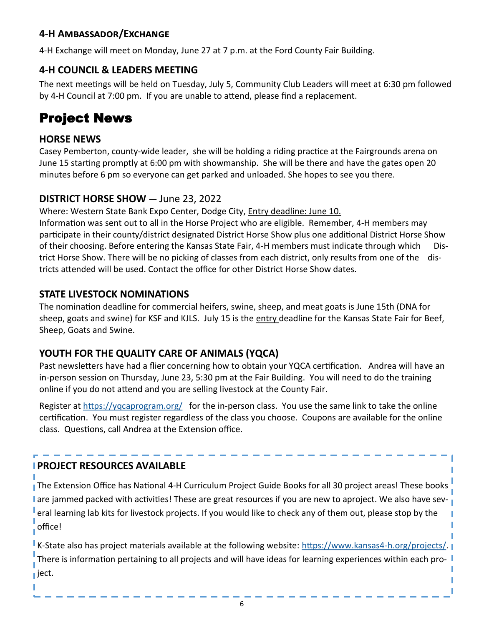#### <span id="page-5-0"></span>**4-H Ambassador/Exchange**

4-H Exchange will meet on Monday, June 27 at 7 p.m. at the Ford County Fair Building.

#### **4-H COUNCIL & LEADERS MEETING**

The next meetings will be held on Tuesday, July 5, Community Club Leaders will meet at 6:30 pm followed by 4-H Council at 7:00 pm. If you are unable to attend, please find a replacement.

#### Project News

#### **HORSE NEWS**

Casey Pemberton, county-wide leader, she will be holding a riding practice at the Fairgrounds arena on June 15 starting promptly at 6:00 pm with showmanship. She will be there and have the gates open 20 minutes before 6 pm so everyone can get parked and unloaded. She hopes to see you there.

#### **DISTRICT HORSE SHOW —** June 23, 2022

Where: Western State Bank Expo Center, Dodge City, Entry deadline: June 10.

Information was sent out to all in the Horse Project who are eligible. Remember, 4-H members may participate in their county/district designated District Horse Show plus one additional District Horse Show of their choosing. Before entering the Kansas State Fair, 4-H members must indicate through which District Horse Show. There will be no picking of classes from each district, only results from one of the districts attended will be used. Contact the office for other District Horse Show dates.

#### **STATE LIVESTOCK NOMINATIONS**

The nomination deadline for commercial heifers, swine, sheep, and meat goats is June 15th (DNA for sheep, goats and swine) for KSF and KJLS. July 15 is the entry deadline for the Kansas State Fair for Beef, Sheep, Goats and Swine.

#### **YOUTH FOR THE QUALITY CARE OF ANIMALS (YQCA)**

Past newsletters have had a flier concerning how to obtain your YQCA certification. Andrea will have an in-person session on Thursday, June 23, 5:30 pm at the Fair Building. You will need to do the training online if you do not attend and you are selling livestock at the County Fair.

Register at [https://yqcaprogram.org/](#page-5-0) for the in-person class. You use the same link to take the online certification. You must register regardless of the class you choose. Coupons are available for the online class. Questions, call Andrea at the Extension office.

#### **PROJECT RESOURCES AVAILABLE**

The Extension Office has National 4-H Curriculum Project Guide Books for all 30 project areas! These books l are jammed packed with activities! These are great resources if you are new to aproject. We also have several learning lab kits for livestock projects. If you would like to check any of them out, please stop by the office!

K-State also has project materials available at the following website: [https://www.kansas4](#page-5-0)-h.org/projects/. There is information pertaining to all projects and will have ideas for learning experiences within each project. I

П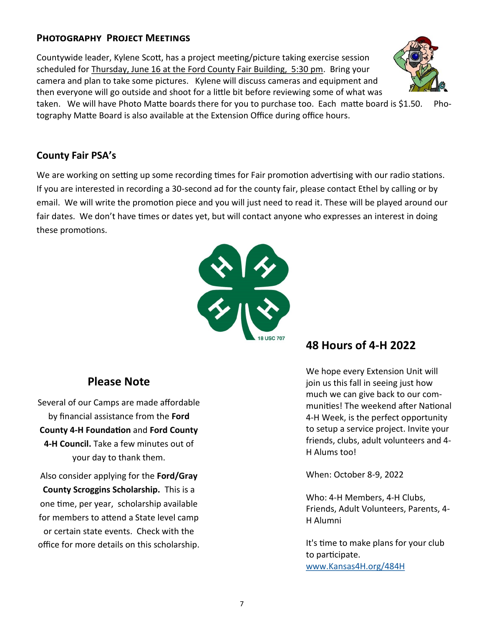#### **Photography Project Meetings**

Countywide leader, Kylene Scott, has a project meeting/picture taking exercise session scheduled for Thursday, June 16 at the Ford County Fair Building, 5:30 pm. Bring your camera and plan to take some pictures. Kylene will discuss cameras and equipment and then everyone will go outside and shoot for a little bit before reviewing some of what was

taken. We will have Photo Matte boards there for you to purchase too. Each matte board is \$1.50. Photography Matte Board is also available at the Extension Office during office hours.

#### **County Fair PSA's**

We are working on setting up some recording times for Fair promotion advertising with our radio stations. If you are interested in recording a 30-second ad for the county fair, please contact Ethel by calling or by email. We will write the promotion piece and you will just need to read it. These will be played around our fair dates. We don't have times or dates yet, but will contact anyone who expresses an interest in doing these promotions.



Several of our Camps are made affordable by financial assistance from the **Ford County 4-H Foundation** and **Ford County 4-H Council.** Take a few minutes out of your day to thank them.

Also consider applying for the **Ford/Gray County Scroggins Scholarship.** This is a one time, per year, scholarship available for members to attend a State level camp or certain state events. Check with the office for more details on this scholarship.

#### **48 Hours of 4-H 2022**

We hope every Extension Unit will join us this fall in seeing just how much we can give back to our communities! The weekend after National 4-H Week, is the perfect opportunity to setup a service project. Invite your friends, clubs, adult volunteers and 4- H Alums too!

When: October 8-9, 2022

Who: 4-H Members, 4-H Clubs, Friends, Adult Volunteers, Parents, 4- H Alumni

It's time to make plans for your club to participate. [www.Kansas4H.org/484H](http://www.Kansas4H.org/484H)